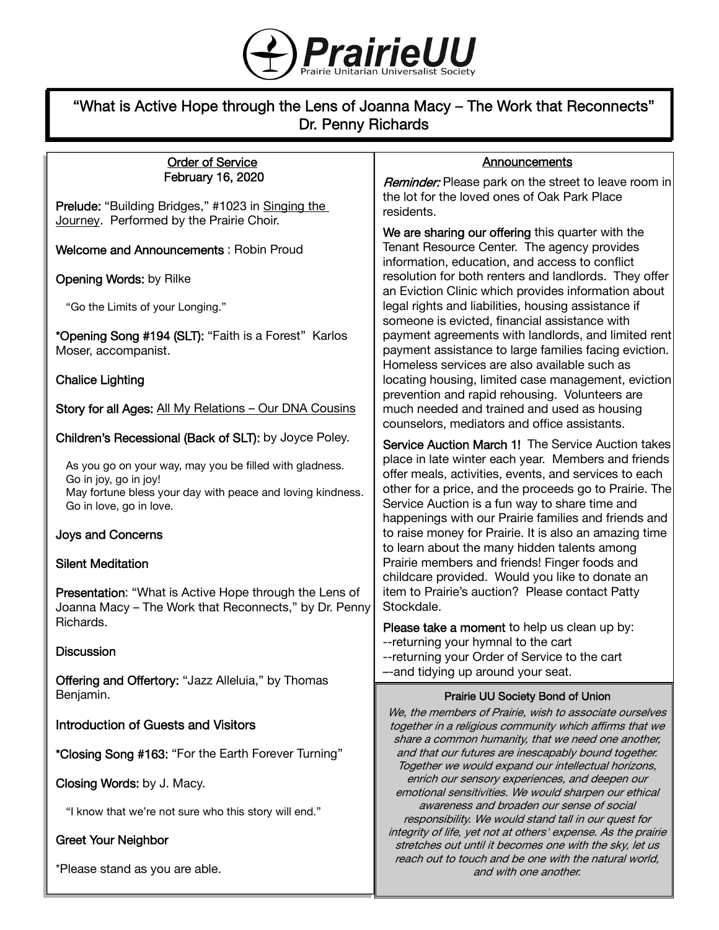

# "What is Active Hope through the Lens of Joanna Macy – The Work that Reconnects" Dr. Penny Richards

| <b>Order of Service</b>                                                                                                                                                   | Announcements                                                                                                                                                                                                                                                                    |
|---------------------------------------------------------------------------------------------------------------------------------------------------------------------------|----------------------------------------------------------------------------------------------------------------------------------------------------------------------------------------------------------------------------------------------------------------------------------|
| February 16, 2020                                                                                                                                                         | Reminder: Please park on the street to leave room in                                                                                                                                                                                                                             |
| Prelude: "Building Bridges," #1023 in Singing the                                                                                                                         | the lot for the loved ones of Oak Park Place<br>residents.                                                                                                                                                                                                                       |
| Journey. Performed by the Prairie Choir.                                                                                                                                  | We are sharing our offering this quarter with the                                                                                                                                                                                                                                |
| <b>Welcome and Announcements: Robin Proud</b>                                                                                                                             | Tenant Resource Center. The agency provides<br>information, education, and access to conflict                                                                                                                                                                                    |
| <b>Opening Words: by Rilke</b>                                                                                                                                            | resolution for both renters and landlords. They offer<br>an Eviction Clinic which provides information about                                                                                                                                                                     |
| "Go the Limits of your Longing."                                                                                                                                          | legal rights and liabilities, housing assistance if<br>someone is evicted, financial assistance with                                                                                                                                                                             |
| *Opening Song #194 (SLT): "Faith is a Forest" Karlos<br>Moser, accompanist.                                                                                               | payment agreements with landlords, and limited rent<br>payment assistance to large families facing eviction.<br>Homeless services are also available such as                                                                                                                     |
| <b>Chalice Lighting</b>                                                                                                                                                   | locating housing, limited case management, eviction<br>prevention and rapid rehousing. Volunteers are                                                                                                                                                                            |
| Story for all Ages: All My Relations - Our DNA Cousins                                                                                                                    | much needed and trained and used as housing<br>counselors, mediators and office assistants.                                                                                                                                                                                      |
| Children's Recessional (Back of SLT): by Joyce Poley.                                                                                                                     | <b>Service Auction March 1! The Service Auction takes</b>                                                                                                                                                                                                                        |
| As you go on your way, may you be filled with gladness.<br>Go in joy, go in joy!<br>May fortune bless your day with peace and loving kindness.<br>Go in love, go in love. | place in late winter each year. Members and friends<br>offer meals, activities, events, and services to each<br>other for a price, and the proceeds go to Prairie. The<br>Service Auction is a fun way to share time and<br>happenings with our Prairie families and friends and |
| <b>Joys and Concerns</b>                                                                                                                                                  | to raise money for Prairie. It is also an amazing time<br>to learn about the many hidden talents among                                                                                                                                                                           |
| <b>Silent Meditation</b>                                                                                                                                                  | Prairie members and friends! Finger foods and<br>childcare provided. Would you like to donate an                                                                                                                                                                                 |
| <b>Presentation:</b> "What is Active Hope through the Lens of<br>Joanna Macy - The Work that Reconnects," by Dr. Penny                                                    | item to Prairie's auction? Please contact Patty<br>Stockdale.                                                                                                                                                                                                                    |
| Richards.                                                                                                                                                                 | Please take a moment to help us clean up by:                                                                                                                                                                                                                                     |
| <b>Discussion</b>                                                                                                                                                         | --returning your hymnal to the cart<br>--returning your Order of Service to the cart                                                                                                                                                                                             |
| Offering and Offertory: "Jazz Alleluia," by Thomas                                                                                                                        | --and tidying up around your seat.                                                                                                                                                                                                                                               |
| Benjamin.                                                                                                                                                                 | <b>Prairie UU Society Bond of Union</b>                                                                                                                                                                                                                                          |
| <b>Introduction of Guests and Visitors</b>                                                                                                                                | We, the members of Prairie, wish to associate ourselves<br>together in a religious community which affirms that we<br>share a common humanity, that we need one another,                                                                                                         |
| *Closing Song #163: "For the Earth Forever Turning"                                                                                                                       | and that our futures are inescapably bound together.<br>Together we would expand our intellectual horizons,                                                                                                                                                                      |
| Closing Words: by J. Macy.                                                                                                                                                | enrich our sensory experiences, and deepen our<br>emotional sensitivities. We would sharpen our ethical                                                                                                                                                                          |
| "I know that we're not sure who this story will end."                                                                                                                     | awareness and broaden our sense of social<br>responsibility. We would stand tall in our quest for                                                                                                                                                                                |
| <b>Greet Your Neighbor</b>                                                                                                                                                | integrity of life, yet not at others' expense. As the prairie<br>stretches out until it becomes one with the sky, let us                                                                                                                                                         |

reach out to touch and be one with the natural world, and with one another.

\*Please stand as you are able.